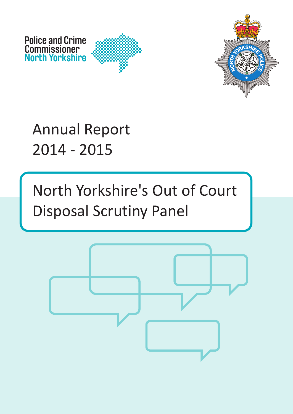

Annual Report 2014 - 2015

**Police and Crime Commissioner North Yorkshire**

> North Yorkshire's Out of Court Disposal Scrutiny Panel

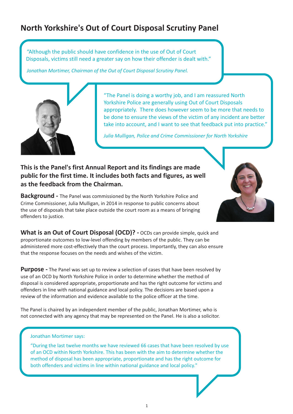# **North Yorkshire's Out of Court Disposal Scrutiny Panel**

"Although the public should have confidence in the use of Out of Court Disposals, victims still need a greater say on how their offender is dealt with."

*Jonathan Mortimer, Chairman of the Out of Court Disposal Scrutiny Panel.*



"The Panel is doing a worthy job, and I am reassured North Yorkshire Police are generally using Out of Court Disposals appropriately. There does however seem to be more that needs to be done to ensure the views of the victim of any incident are better take into account, and I want to see that feedback put into practice."

*Julia Mulligan, Police and Crime Commissioner for North Yorkshire*

# **This is the Panel's first Annual Report and its findings are made public for the first time. It includes both facts and figures, as well as the feedback from the Chairman.**

**Background -** The Panel was commissioned by the North Yorkshire Police and Crime Commissioner, Julia Mulligan, in 2014 in response to public concerns about the use of disposals that take place outside the court room as a means of bringing offenders to justice.



**What is an Out of Court Disposal (OCD)? -** OCDs can provide simple, quick and proportionate outcomes to low-level offending by members of the public. They can be administered more cost-effectively than the court process. Importantly, they can also ensure that the response focuses on the needs and wishes of the victim.

**Purpose -** The Panel was set up to review a selection of cases that have been resolved by use of an OCD by North Yorkshire Police in order to determine whether the method of disposal is considered appropriate, proportionate and has the right outcome for victims and offenders in line with national guidance and local policy. The decisions are based upon a review of the information and evidence available to the police officer at the time.

The Panel is chaired by an independent member of the public, Jonathan Mortimer, who is not connected with any agency that may be represented on the Panel. He is also a solicitor.

#### Jonathan Mortimer says:

"During the last twelve months we have reviewed 66 cases that have been resolved by use of an OCD within North Yorkshire. This has been with the aim to determine whether the method of disposal has been appropriate, proportionate and has the right outcome for both offenders and victims in line within national guidance and local policy."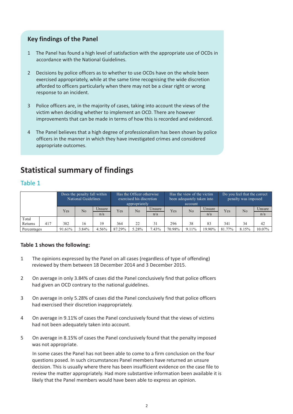# **Key findings of the Panel**

- 1 The Panel has found a high level of satisfaction with the appropriate use of OCDs in accordance with the National Guidelines.
- 2 Decisions by police officers as to whether to use OCDs have on the whole been exercised appropriately, while at the same time recognising the wide discretion afforded to officers particularly when there may not be a clear right or wrong response to an incident.
- 3 Police officers are, in the majority of cases, taking into account the views of the victim when deciding whether to implement an OCD. There are however improvements that can be made in terms of how this is recorded and evidenced.
- 4 The Panel believes that a high degree of professionalism has been shown by police officers in the manner in which they have investigated crimes and considered appropriate outcomes.

# **Statistical summary of findings**

# Table 1

|             |     | Does the penalty fall within<br>National Guidelines |       |        | Has the Officer otherwise<br>exercised his discretion<br>appropriately |       |        |        | Has the view of the victim<br>been adequately taken into<br>account |        | Do you feel that the correct<br>penalty was imposed |                |           |
|-------------|-----|-----------------------------------------------------|-------|--------|------------------------------------------------------------------------|-------|--------|--------|---------------------------------------------------------------------|--------|-----------------------------------------------------|----------------|-----------|
|             |     | Yes                                                 | No    | Unsure | Yes                                                                    | No    | Unsure | Yes    | No                                                                  | Unsure | Yes                                                 | N <sub>o</sub> | Unsure    |
|             |     |                                                     |       | n/a    |                                                                        |       | n/a    |        |                                                                     | n/a    |                                                     |                | n/a       |
| Total       |     |                                                     |       |        |                                                                        |       |        |        |                                                                     |        |                                                     |                |           |
| Returns     | 417 | 382                                                 | 16    | 19     | 364                                                                    | 22    | 31     | 296    | 38                                                                  | 83     | 341                                                 | 34             | 42        |
| Percentages |     | 91.61%                                              | 3.84% | 4.56%  | 87.29%                                                                 | 5.28% | 7.43%  | 70.98% | $9.11\%$                                                            | 19.90% | 81.77%                                              | 8.15%          | $10.07\%$ |

## **Table 1 shows the following:**

- 1 The opinions expressed by the Panel on all cases (regardless of type of offending) reviewed by them between 18 December 2014 and 3 December 2015.
- 2 On average in only 3.84% of cases did the Panel conclusively find that police officers had given an OCD contrary to the national guidelines.
- 3 On average in only 5.28% of cases did the Panel conclusively find that police officers had exercised their discretion inappropriately.
- 4 On average in 9.11% of cases the Panel conclusively found that the views of victims had not been adequately taken into account.
- 5 On average in 8.15% of cases the Panel conclusively found that the penalty imposed was not appropriate.

In some cases the Panel has not been able to come to a firm conclusion on the four questions posed. In such circumstances Panel members have returned an unsure decision. This is usually where there has been insufficient evidence on the case file to review the matter appropriately. Had more substantive information been available it is likely that the Panel members would have been able to express an opinion.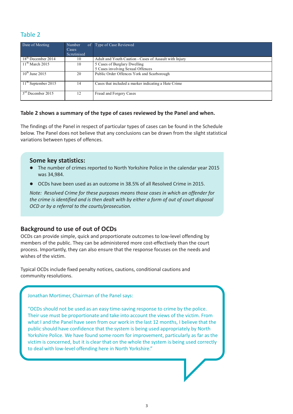# Table 2

| Date of Meeting            | Number<br>Cases<br>Scrutinised | of Type of Case Reviewed                                          |
|----------------------------|--------------------------------|-------------------------------------------------------------------|
| $18th$ December 2014       | 10                             | Adult and Youth Caution - Cases of Assault with Injury            |
| $11th$ March 2015          | 10                             | 5 Cases of Burglary Dwelling<br>5 Cases involving Sexual Offences |
| $10^{\text{th}}$ June 2015 | 20                             | Public Order Offences York and Scarborough                        |
| $11th$ September 2015      | 14                             | Cases that included a marker indicating a Hate Crime              |
| $3rd$ December 2015        | 12                             | Fraud and Forgery Cases                                           |

#### **Table 2 shows a summary of the type of cases reviewed by the Panel and when.**

The findings of the Panel in respect of particular types of cases can be found in the Schedule below. The Panel does not believe that any conclusions can be drawn from the slight statistical variations between types of offences.

# **Some key statistics:**

- The number of crimes reported to North Yorkshire Police in the calendar year 2015 was 34,984.
- **•** OCDs have been used as an outcome in 38.5% of all Resolved Crime in 2015.

*Note: Resolved Crime for these purposes means those cases in which an offender for the crime is identified and is then dealt with by either a form of out of court disposal OCD or by a referral to the courts/prosecution.*

# **Background to use of out of OCDs**

OCDs can provide simple, quick and proportionate outcomes to low-level offending by members of the public. They can be administered more cost-effectively than the court process. Importantly, they can also ensure that the response focuses on the needs and wishes of the victim.

Typical OCDs include fixed penalty notices, cautions, conditional cautions and community resolutions.

Jonathan Mortimer, Chairman of the Panel says:

"OCDs should not be used as an easy time-saving response to crime by the police. Their use must be proportionate and take into account the views of the victim. From what I and the Panel have seen from our work in the last 12 months, I believe that the public should have confidence that the system is being used appropriately by North Yorkshire Police. We have found some room for improvement, particularly as far as the victim is concerned, but it is clear that on the whole the system is being used correctly to deal with low-level offending here in North Yorkshire."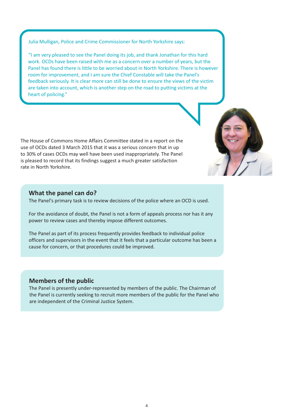Julia Mulligan, Police and Crime Commissioner for North Yorkshire says:

"I am very pleased to see the Panel doing its job, and thank Jonathan for this hard work. OCDs have been raised with me as a concern over a number of years, but the Panel has found there is little to be worried about in North Yorkshire. There is however room for improvement, and I am sure the Chief Constable will take the Panel's feedback seriously. It is clear more can still be done to ensure the views of the victim are taken into account, which is another step on the road to putting victims at the heart of policing."

The House of Commons Home Affairs Committee stated in a report on the use of OCDs dated 3 March 2015 that it was a serious concern that in up to 30% of cases OCDs may well have been used inappropriately. The Panel is pleased to record that its findings suggest a much greater satisfaction rate in North Yorkshire.

### **What the panel can do?**

The Panel's primary task is to review decisions of the police where an OCD is used.

For the avoidance of doubt, the Panel is not a form of appeals process nor has it any power to review cases and thereby impose different outcomes.

The Panel as part of its process frequently provides feedback to individual police officers and supervisors in the event that it feels that a particular outcome has been a cause for concern, or that procedures could be improved.

## **Members of the public**

The Panel is presently under-represented by members of the public. The Chairman of the Panel is currently seeking to recruit more members of the public for the Panel who are independent of the Criminal Justice System.

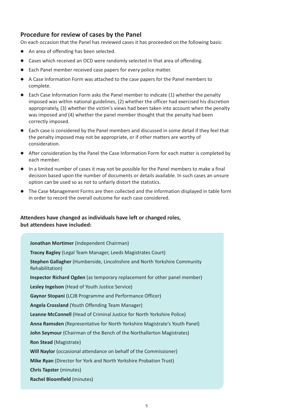# **Procedure for review of cases by the Panel**

On each occasion that the Panel has reviewed cases it has proceeded on the following basis:

- l An area of offending has been selected.
- **•** Cases which received an OCD were randomly selected in that area of offending.
- **•** Each Panel member received case papers for every police matter.
- l A Case Information Form was attached to the case papers for the Panel members to complete.
- Each Case Information Form asks the Panel member to indicate (1) whether the penalty imposed was within national guidelines, (2) whether the officer had exercised his discretion appropriately, (3) whether the victim's views had been taken into account when the penalty was imposed and (4) whether the panel member thought that the penalty had been correctly imposed.
- Each case is considered by the Panel members and discussed in some detail if they feel that the penalty imposed may not be appropriate, or if other matters are worthy of consideration.
- After consideration by the Panel the Case Information Form for each matter is completed by each member.
- l In a limited number of cases it may not be possible for the Panel members to make a final decision based upon the number of documents or details available. In such cases an unsure option can be used so as not to unfairly distort the statistics.
- The Case Management Forms are then collected and the information displayed in table form in order to record the overall outcome for each case considered.

# **Attendees have changed as individuals have left or changed roles, but attendees have included:**

**Jonathan Mortimer** (Independent Chairman) **Tracey Bagley** (Legal Team Manager, Leeds Magistrates Court) **Stephen Gallagher** (Humberside, Lincolnshire and North Yorkshire Community Rehabilitation) **Inspector Richard Ogden** (as temporary replacement for other panel member) **Lesley Ingelson** (Head of Youth Justice Service) **Gaynor Stopani** (LCJB Programme and Performance Officer) **Angela Crossland** (Youth Offending Team Manager) **Leanne McConnell** (Head of Criminal Justice for North Yorkshire Police) **Anna Ramsden** (Representative for North Yorkshire Magistrate's Youth Panel) **John Seymour** (Chairman of the Bench of the Northallerton Magistrates) **Ron Stead** (Magistrate) **Will Naylor** (occasional attendance on behalf of the Commissioner) **Mike Ryan** (Director for York and North Yorkshire Probation Trust) **Chris Tapster** (minutes) **Rachel Bloomfield** (minutes)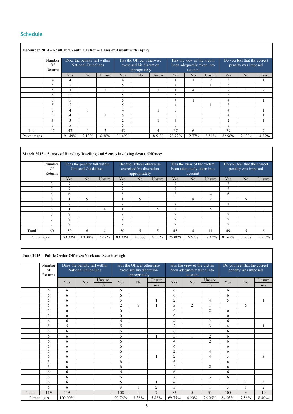# Schedule

I

 $\overline{\phantom{a}}$ 

|             | December 2014 - Adult and Youth Caution – Cases of Assault with Injury |                                                            |       |        |                                                                        |                |                |        |                                                                     |                |                                                     |                |        |  |
|-------------|------------------------------------------------------------------------|------------------------------------------------------------|-------|--------|------------------------------------------------------------------------|----------------|----------------|--------|---------------------------------------------------------------------|----------------|-----------------------------------------------------|----------------|--------|--|
|             | Number<br>Of<br>Returns                                                | Does the penalty fall within<br><b>National Guidelines</b> |       |        | Has the Officer otherwise<br>exercised his discretion<br>appropriately |                |                |        | Has the view of the victim<br>been adequately taken into<br>account |                | Do you feel that the correct<br>penalty was imposed |                |        |  |
|             |                                                                        | Yes                                                        | No    | Unsure | Yes                                                                    | N <sub>o</sub> | Unsure         | Yes    | No.                                                                 | Unsure         | Yes                                                 | N <sub>o</sub> | Unsure |  |
|             | 4                                                                      | $\overline{4}$                                             |       |        | 4                                                                      |                |                |        |                                                                     | $\overline{c}$ | 3                                                   |                |        |  |
|             | 5                                                                      | 5                                                          |       |        | 5                                                                      |                |                | 4      |                                                                     |                | 5                                                   |                |        |  |
|             | 5                                                                      | 3                                                          |       | 2      | 3                                                                      |                | $\overline{c}$ |        | 4                                                                   |                | 2                                                   |                | 2      |  |
|             | 5                                                                      | 5.                                                         |       |        | 5                                                                      |                |                | 5      |                                                                     |                | 5                                                   |                |        |  |
|             | 5                                                                      | 5                                                          |       |        | 5                                                                      |                |                | 4      |                                                                     |                | 4                                                   |                |        |  |
|             | 5                                                                      | 5                                                          |       |        | 5                                                                      |                |                | 4      |                                                                     |                | 5                                                   |                |        |  |
|             | 5                                                                      | 4                                                          |       |        | 4                                                                      |                |                | 5      |                                                                     |                | 4                                                   |                |        |  |
|             | 5                                                                      | 4                                                          |       |        | 5                                                                      |                |                | 5      |                                                                     |                | 4                                                   |                |        |  |
|             | 3                                                                      | 3                                                          |       |        | 2                                                                      |                |                | 3      |                                                                     |                | 2                                                   |                |        |  |
|             | 5                                                                      | 5                                                          |       |        | 5                                                                      |                |                | 5      |                                                                     |                | 5                                                   |                |        |  |
| Total       | 47                                                                     | 43                                                         |       | 3      | 43                                                                     |                | 4              | 37     | 6                                                                   | 4              | 39                                                  |                | 7      |  |
| Percentages |                                                                        | 91.49%                                                     | 2.13% | 6.38%  | 91.49%                                                                 |                | 8.51%          | 78.72% | 12.77%                                                              | 8.51%          | 82.98%                                              | 2.13%          | 14.89% |  |

#### **March 2015 – 5 cases of Burglary Dwelling and 5 cases involving Sexual Offences**

|             | Number<br>Of<br>Returns | Does the penalty fall within<br>National Guidelines |        |                | Has the Officer otherwise<br>exercised his discretion<br>appropriately |                |        |                | Has the view of the victim<br>been adequately taken into<br>account |                | Do you feel that the correct<br>penalty was imposed |                          |        |
|-------------|-------------------------|-----------------------------------------------------|--------|----------------|------------------------------------------------------------------------|----------------|--------|----------------|---------------------------------------------------------------------|----------------|-----------------------------------------------------|--------------------------|--------|
|             |                         | Yes                                                 | No     | Unsure         | Yes                                                                    | N <sub>o</sub> | Unsure | Yes            | N <sub>o</sub>                                                      | Unsure         | Yes                                                 | No                       | Unsure |
|             | ⇁                       | $\mathcal{I}$                                       |        |                | $\overline{ }$                                                         |                |        | $\mathcal{I}$  |                                                                     |                | $\overline{ }$                                      |                          |        |
|             |                         | $\mathcal{L}$                                       |        |                | π                                                                      |                |        | π              |                                                                     |                | ⇁                                                   |                          |        |
|             | 6                       | 6                                                   |        |                | 6                                                                      |                |        | 2              |                                                                     | 4              | 6                                                   |                          |        |
|             | 6                       |                                                     | 5      |                |                                                                        |                |        |                | 4                                                                   | $\overline{2}$ |                                                     | 5                        |        |
|             | $\overline{ }$          | $\overline{ }$                                      |        |                | π                                                                      |                |        | $\overline{ }$ |                                                                     |                | $\overline{ }$                                      |                          |        |
|             | 6                       |                                                     |        | 4              |                                                                        |                | 5      |                |                                                                     | 5              |                                                     |                          | 6      |
|             | $\overline{ }$          | $\mathcal{I}$                                       |        |                | Ξ                                                                      |                |        | $\mathcal{L}$  |                                                                     |                | $\mathbf{r}$                                        |                          |        |
|             | ∽                       | $\overline{ }$                                      |        |                | Ξ                                                                      |                |        | ⇁              |                                                                     |                | $\overline{ }$                                      |                          |        |
|             |                         | $\mathcal{L}$                                       |        |                | π                                                                      |                |        | 7              |                                                                     |                | $\overline{ }$                                      |                          |        |
| Total       | 60                      | 50                                                  | 6      | $\overline{4}$ | 50                                                                     | 5              | 5      | 45             | 4                                                                   | 11             | 49                                                  | $\overline{\phantom{0}}$ | 6      |
| Percentages |                         | 83.33%                                              | 10.00% | 6.67%          | 83.33%                                                                 | 8.33%          | 8.33%  | 75.00%         | 6.67%                                                               | 18.33%         | 81.67%                                              | 8.33%                    | 10.00% |

٦

|             | June 2015 - Public Order Offences York and Scarborough |                                                     |    |               |                                                                        |                |                |                |                                                                     |                |                                                     |                |                |  |
|-------------|--------------------------------------------------------|-----------------------------------------------------|----|---------------|------------------------------------------------------------------------|----------------|----------------|----------------|---------------------------------------------------------------------|----------------|-----------------------------------------------------|----------------|----------------|--|
|             | Number<br>of<br>Returns                                | Does the penalty fall within<br>National Guidelines |    |               | Has the Officer otherwise<br>exercised his discretion<br>appropriately |                |                |                | Has the view of the victim<br>been adequately taken into<br>account |                | Do you feel that the correct<br>penalty was imposed |                |                |  |
|             |                                                        | Yes                                                 | No | Unsure<br>n/a | Yes                                                                    | No             | Unsure<br>n/a  | Yes            | No                                                                  | Unsure<br>n/a  | Yes                                                 | No             | Unsure<br>n/a  |  |
|             | 6                                                      | 6                                                   |    |               | 6                                                                      |                |                | 6              |                                                                     |                | 6                                                   |                |                |  |
|             | 6                                                      | 6                                                   |    |               | 6                                                                      |                |                | 6              |                                                                     |                | 6                                                   |                |                |  |
|             | 6                                                      | 6                                                   |    |               | 5                                                                      |                | 1              | $\overline{2}$ |                                                                     | 4              | 5                                                   |                | $\mathbf{1}$   |  |
|             | 6                                                      | 6                                                   |    |               | $\overline{2}$                                                         | $\overline{3}$ | $\mathbf{1}$   | $\overline{3}$ | 2                                                                   | 1              |                                                     | 6              |                |  |
|             | 6                                                      | 6                                                   |    |               | 6                                                                      |                |                | 4              |                                                                     | $\overline{c}$ | 6                                                   |                |                |  |
|             | 6                                                      | 6                                                   |    |               | 6                                                                      |                |                | 6              |                                                                     |                | 6                                                   |                |                |  |
|             | 6                                                      | 6                                                   |    |               | 6                                                                      |                |                | 4              |                                                                     | $\overline{c}$ | 6                                                   |                |                |  |
|             | 5                                                      | 5                                                   |    |               | 5                                                                      |                |                | $\overline{2}$ |                                                                     | 3              | 4                                                   |                |                |  |
|             | 6                                                      | 6                                                   |    |               | 6                                                                      |                |                | 6              |                                                                     |                | 6                                                   |                |                |  |
|             | 6                                                      | 6                                                   |    |               | 5                                                                      |                | 1              | $\overline{3}$ | $\mathbf{1}$                                                        | $\overline{c}$ | 6                                                   |                |                |  |
|             | 6                                                      | 6                                                   |    |               | 6                                                                      |                |                | 4              |                                                                     | $\overline{2}$ | 6                                                   |                |                |  |
|             | 6                                                      | 6                                                   |    |               | 6                                                                      |                |                | 6              |                                                                     |                | 6                                                   |                |                |  |
|             | 6                                                      | 6                                                   |    |               | 6                                                                      |                |                | $\overline{2}$ |                                                                     | 4              | 6                                                   |                |                |  |
|             | 6                                                      | 6                                                   |    |               | 5                                                                      |                | $\mathbf{1}$   | 2              |                                                                     | 4              | 3                                                   |                | 3              |  |
|             | 6                                                      | 6                                                   |    |               | 6                                                                      |                |                | 6              |                                                                     |                | 6                                                   |                |                |  |
|             | 6                                                      | 6                                                   |    |               | 6                                                                      |                |                | $\overline{4}$ |                                                                     | $\overline{2}$ | 6                                                   |                |                |  |
|             | 6                                                      | 6                                                   |    |               | 6                                                                      |                |                | 6              |                                                                     |                | 6                                                   |                |                |  |
|             | 6                                                      | 6                                                   |    |               | 6                                                                      |                |                | $\overline{2}$ | $\mathbf{1}$                                                        | 3              | 6                                                   |                |                |  |
|             | 6                                                      | 6                                                   |    |               | 5                                                                      |                | 1              | 4              | 1                                                                   | 1              | 1                                                   | $\overline{2}$ | 3              |  |
|             | 6                                                      | 6                                                   |    |               | 3                                                                      | 1              | $\overline{2}$ | 5              |                                                                     | 1              | 3                                                   | $\mathbf{1}$   | $\overline{c}$ |  |
| Total       | 119                                                    | 119                                                 |    |               | 108                                                                    | $\overline{4}$ | $\overline{7}$ | 83             | 5                                                                   | 31             | 100                                                 | 9              | 10             |  |
| Percentages |                                                        | 100.00%                                             |    |               | 90.76%                                                                 | 3.36%          | 5.88%          | 69.75%         | 4.20%                                                               | 26.05%         | 84.03%                                              | 7.56%          | 8.40%          |  |